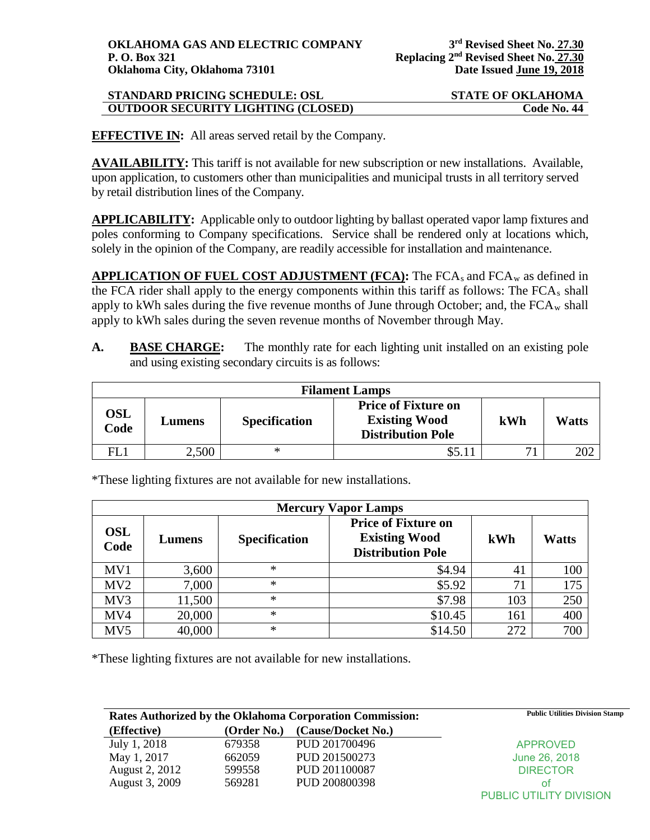| <b>STANDARD PRICING SCHEDULE: OSL</b>     | <b>STATE OF OKLAHOMA</b> |
|-------------------------------------------|--------------------------|
| <b>OUTDOOR SECURITY LIGHTING (CLOSED)</b> | Code No. 44              |

**EFFECTIVE IN:** All areas served retail by the Company.

**AVAILABILITY:** This tariff is not available for new subscription or new installations. Available, upon application, to customers other than municipalities and municipal trusts in all territory served by retail distribution lines of the Company.

**APPLICABILITY:** Applicable only to outdoor lighting by ballast operated vapor lamp fixtures and poles conforming to Company specifications. Service shall be rendered only at locations which, solely in the opinion of the Company, are readily accessible for installation and maintenance.

**APPLICATION OF FUEL COST ADJUSTMENT (FCA): The FCA<sub>s</sub> and FCA<sub>w</sub> as defined in** the FCA rider shall apply to the energy components within this tariff as follows: The FCAs shall apply to kWh sales during the five revenue months of June through October; and, the  $FCA_w$  shall apply to kWh sales during the seven revenue months of November through May.

**A. BASE CHARGE:** The monthly rate for each lighting unit installed on an existing pole and using existing secondary circuits is as follows:

| <b>Filament Lamps</b> |        |                      |                                                                                |     |       |  |
|-----------------------|--------|----------------------|--------------------------------------------------------------------------------|-----|-------|--|
| <b>OSL</b><br>Code    | Lumens | <b>Specification</b> | <b>Price of Fixture on</b><br><b>Existing Wood</b><br><b>Distribution Pole</b> | kWh | Watts |  |
| FL1                   | 2,500  | ∗                    | \$5.1                                                                          | 71  |       |  |

\*These lighting fixtures are not available for new installations.

|                    | <b>Mercury Vapor Lamps</b> |                      |                                                                                |     |              |  |  |
|--------------------|----------------------------|----------------------|--------------------------------------------------------------------------------|-----|--------------|--|--|
| <b>OSL</b><br>Code | Lumens                     | <b>Specification</b> | <b>Price of Fixture on</b><br><b>Existing Wood</b><br><b>Distribution Pole</b> | kWh | <b>Watts</b> |  |  |
| MV1                | 3,600                      | *                    | \$4.94                                                                         | 41  | 100          |  |  |
| MV2                | 7,000                      | ∗                    | \$5.92                                                                         | 71  | 175          |  |  |
| MV3                | 11,500                     | ∗                    | \$7.98                                                                         | 103 | 250          |  |  |
| MV4                | 20,000                     | ∗                    | \$10.45                                                                        | 161 | 400          |  |  |
| MV5                | 40,000                     | ∗                    | \$14.50                                                                        | 272 | 700          |  |  |

\*These lighting fixtures are not available for new installations.

| Rates Authorized by the Oklahoma Corporation Commission: |             |                    | <b>Public Utilities Division Stamp</b> |
|----------------------------------------------------------|-------------|--------------------|----------------------------------------|
| (Effective)                                              | (Order No.) | (Cause/Docket No.) |                                        |
| July 1, 2018                                             | 679358      | PUD 201700496      | <b>APPROVED</b>                        |
| May 1, 2017                                              | 662059      | PUD 201500273      | June 26, 2018                          |
| August 2, 2012                                           | 599558      | PUD 201100087      | <b>DIRECTOR</b>                        |
| August 3, 2009                                           | 569281      | PUD 200800398      | ΩŤ                                     |
|                                                          |             |                    | PUBLIC UTILITY DIVISION                |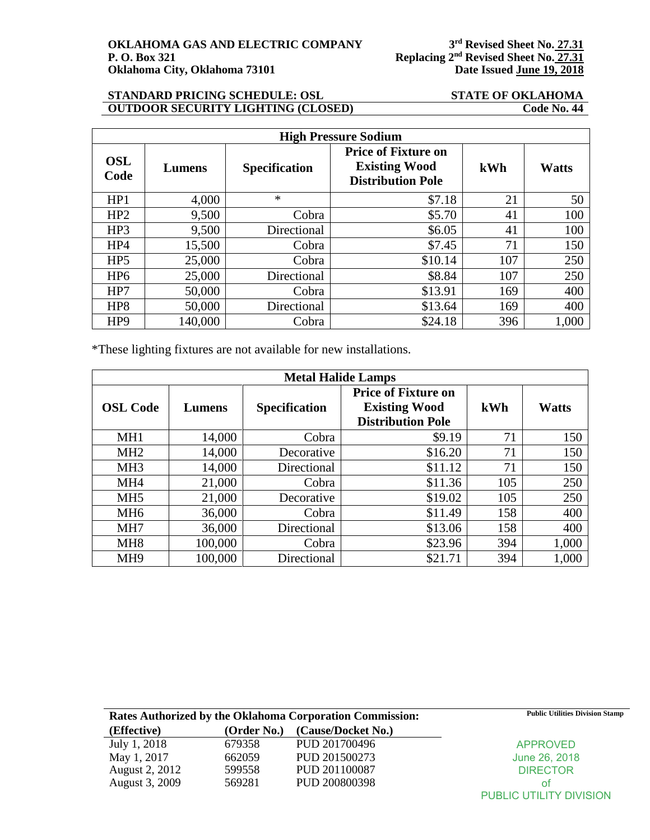**P. O. 27.31**<br>Replacing 2<sup>nd</sup> Revised Sheet No. 27.31<br>Date Issued June 19, 2018

## **STANDARD PRICING SCHEDULE: OSL STATE OF OKLAHOMA<br>
OUTDOOR SECURITY LIGHTING (CLOSED)** Code No. 44 **OUTDOOR SECURITY LIGHTING (CLOSED)**

| <b>High Pressure Sodium</b> |         |                      |                                                                                |     |              |  |
|-----------------------------|---------|----------------------|--------------------------------------------------------------------------------|-----|--------------|--|
| <b>OSL</b><br>Code          | Lumens  | <b>Specification</b> | <b>Price of Fixture on</b><br><b>Existing Wood</b><br><b>Distribution Pole</b> | kWh | <b>Watts</b> |  |
| HP1                         | 4,000   | $\ast$               | \$7.18                                                                         | 21  | 50           |  |
| HP2                         | 9,500   | Cobra                | \$5.70                                                                         | 41  | 100          |  |
| HP3                         | 9,500   | Directional          | \$6.05                                                                         | 41  | 100          |  |
| HP4                         | 15,500  | Cobra                | \$7.45                                                                         | 71  | 150          |  |
| HP <sub>5</sub>             | 25,000  | Cobra                | \$10.14                                                                        | 107 | 250          |  |
| HP <sub>6</sub>             | 25,000  | Directional          | \$8.84                                                                         | 107 | 250          |  |
| HP7                         | 50,000  | Cobra                | \$13.91                                                                        | 169 | 400          |  |
| HP <sub>8</sub>             | 50,000  | Directional          | \$13.64                                                                        | 169 | 400          |  |
| HP <sub>9</sub>             | 140,000 | Cobra                | \$24.18                                                                        | 396 | 1,000        |  |

\*These lighting fixtures are not available for new installations.

| <b>Metal Halide Lamps</b> |         |                      |                                                                                |     |              |  |
|---------------------------|---------|----------------------|--------------------------------------------------------------------------------|-----|--------------|--|
| <b>OSL Code</b>           | Lumens  | <b>Specification</b> | <b>Price of Fixture on</b><br><b>Existing Wood</b><br><b>Distribution Pole</b> | kWh | <b>Watts</b> |  |
| MH <sub>1</sub>           | 14,000  | Cobra                | \$9.19                                                                         | 71  | 150          |  |
| MH <sub>2</sub>           | 14,000  | Decorative           | \$16.20                                                                        | 71  | 150          |  |
| MH <sub>3</sub>           | 14,000  | Directional          | \$11.12                                                                        | 71  | 150          |  |
| MH <sub>4</sub>           | 21,000  | Cobra                | \$11.36                                                                        | 105 | 250          |  |
| MH <sub>5</sub>           | 21,000  | Decorative           | \$19.02                                                                        | 105 | 250          |  |
| MH <sub>6</sub>           | 36,000  | Cobra                | \$11.49                                                                        | 158 | 400          |  |
| MH7                       | 36,000  | Directional          | \$13.06                                                                        | 158 | 400          |  |
| MH <sub>8</sub>           | 100,000 | Cobra                | \$23.96                                                                        | 394 | 1,000        |  |
| MH <sub>9</sub>           | 100,000 | Directional          | \$21.71                                                                        | 394 | 1,000        |  |

| Rates Authorized by the Oklahoma Corporation Commission: |             |                    | <b>Public Utilities Division Stamp</b> |
|----------------------------------------------------------|-------------|--------------------|----------------------------------------|
| (Effective)                                              | (Order No.) | (Cause/Docket No.) |                                        |
| July 1, 2018                                             | 679358      | PUD 201700496      | <b>APPROVED</b>                        |
| May 1, 2017                                              | 662059      | PUD 201500273      | June 26, 2018                          |
| <b>August 2, 2012</b>                                    | 599558      | PUD 201100087      | <b>DIRECTOR</b>                        |
| August 3, 2009                                           | 569281      | PUD 200800398      | ΩŤ                                     |
|                                                          |             |                    | <b>PUBLIC UTILITY DIVISION</b>         |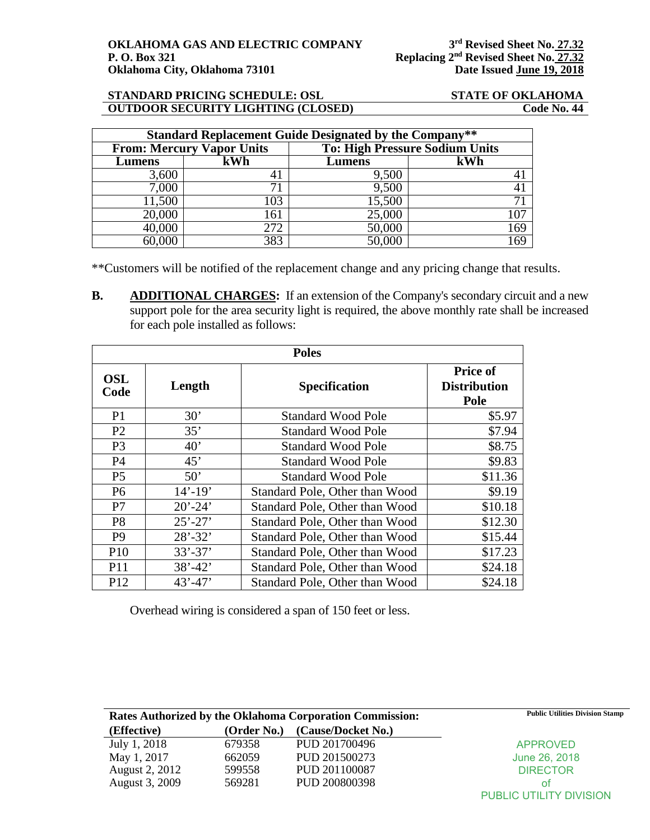### **STANDARD PRICING SCHEDULE: OSL STATE OF OKLAHOMA OUTDOOR SECURITY LIGHTING (CLOSED)**

| <b>Standard Replacement Guide Designated by the Company**</b> |                                  |        |                                       |  |
|---------------------------------------------------------------|----------------------------------|--------|---------------------------------------|--|
|                                                               | <b>From: Mercury Vapor Units</b> |        | <b>To: High Pressure Sodium Units</b> |  |
| Lumens                                                        | kWh                              | Lumens | kWh                                   |  |
| 3,600                                                         |                                  | 9,500  |                                       |  |
| 7,000                                                         |                                  | 9,500  |                                       |  |
| 11,500                                                        | 103                              | 15,500 | 71                                    |  |
| 20,000                                                        | 161                              | 25,000 | 107                                   |  |
| 40,000                                                        | 272                              | 50,000 | 169                                   |  |
| 60.000                                                        | 383                              | 50,000 | 169                                   |  |

\*\*Customers will be notified of the replacement change and any pricing change that results.

**B. ADDITIONAL CHARGES:** If an extension of the Company's secondary circuit and a new support pole for the area security light is required, the above monthly rate shall be increased for each pole installed as follows:

| <b>Poles</b>       |             |                                |                                                |  |
|--------------------|-------------|--------------------------------|------------------------------------------------|--|
| <b>OSL</b><br>Code | Length      | <b>Specification</b>           | <b>Price of</b><br><b>Distribution</b><br>Pole |  |
| P <sub>1</sub>     | 30'         | <b>Standard Wood Pole</b>      | \$5.97                                         |  |
| P <sub>2</sub>     | 35'         | <b>Standard Wood Pole</b>      | \$7.94                                         |  |
| P <sub>3</sub>     | 40'         | <b>Standard Wood Pole</b>      | \$8.75                                         |  |
| <b>P4</b>          | 45'         | <b>Standard Wood Pole</b>      | \$9.83                                         |  |
| P <sub>5</sub>     | 50'         | <b>Standard Wood Pole</b>      | \$11.36                                        |  |
| P <sub>6</sub>     | $14' - 19'$ | Standard Pole, Other than Wood | \$9.19                                         |  |
| P7                 | $20' - 24'$ | Standard Pole, Other than Wood | \$10.18                                        |  |
| P <sub>8</sub>     | $25' - 27'$ | Standard Pole, Other than Wood | \$12.30                                        |  |
| P <sub>9</sub>     | $28' - 32'$ | Standard Pole, Other than Wood | \$15.44                                        |  |
| P <sub>10</sub>    | $33' - 37'$ | Standard Pole, Other than Wood | \$17.23                                        |  |
| P <sub>11</sub>    | $38' - 42'$ | Standard Pole, Other than Wood | \$24.18                                        |  |
| P <sub>12</sub>    | $43' - 47'$ | Standard Pole, Other than Wood | \$24.18                                        |  |

Overhead wiring is considered a span of 150 feet or less.

| Rates Authorized by the Oklahoma Corporation Commission: |             |                    | <b>Public Utilities Division Stamp</b> |
|----------------------------------------------------------|-------------|--------------------|----------------------------------------|
| (Effective)                                              | (Order No.) | (Cause/Docket No.) |                                        |
| July 1, 2018                                             | 679358      | PUD 201700496      | <b>APPROVED</b>                        |
| May 1, 2017                                              | 662059      | PUD 201500273      | June 26, 2018                          |
| August 2, 2012                                           | 599558      | PUD 201100087      | <b>DIRECTOR</b>                        |
| August 3, 2009                                           | 569281      | PUD 200800398      | ΩŤ                                     |
|                                                          |             |                    | <b>PUBLIC UTILITY DIVISION</b>         |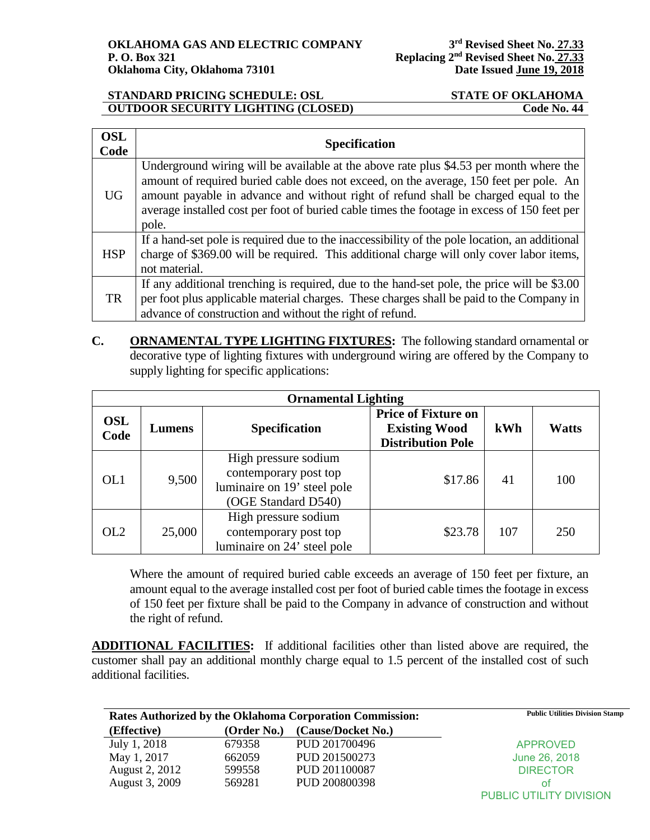### **STANDARD PRICING SCHEDULE: OSL STATE OF OKLAHOMA OUTDOOR SECURITY LIGHTING (CLOSED)** Code No. 44

| <b>OSL</b><br>Code | <b>Specification</b>                                                                                                                                                                                                                                                                                                                                                            |
|--------------------|---------------------------------------------------------------------------------------------------------------------------------------------------------------------------------------------------------------------------------------------------------------------------------------------------------------------------------------------------------------------------------|
| UG                 | Underground wiring will be available at the above rate plus \$4.53 per month where the<br>amount of required buried cable does not exceed, on the average, 150 feet per pole. An<br>amount payable in advance and without right of refund shall be charged equal to the<br>average installed cost per foot of buried cable times the footage in excess of 150 feet per<br>pole. |
| <b>HSP</b>         | If a hand-set pole is required due to the inaccessibility of the pole location, an additional<br>charge of \$369.00 will be required. This additional charge will only cover labor items,<br>not material.                                                                                                                                                                      |
| <b>TR</b>          | If any additional trenching is required, due to the hand-set pole, the price will be \$3.00<br>per foot plus applicable material charges. These charges shall be paid to the Company in<br>advance of construction and without the right of refund.                                                                                                                             |

**C. ORNAMENTAL TYPE LIGHTING FIXTURES:** The following standard ornamental or decorative type of lighting fixtures with underground wiring are offered by the Company to supply lighting for specific applications:

| <b>Ornamental Lighting</b> |        |                                                                                                     |                                                                                |     |              |  |
|----------------------------|--------|-----------------------------------------------------------------------------------------------------|--------------------------------------------------------------------------------|-----|--------------|--|
| <b>OSL</b><br>Code         | Lumens | <b>Specification</b>                                                                                | <b>Price of Fixture on</b><br><b>Existing Wood</b><br><b>Distribution Pole</b> | kWh | <b>Watts</b> |  |
| OL1                        | 9,500  | High pressure sodium<br>contemporary post top<br>luminaire on 19' steel pole<br>(OGE Standard D540) | \$17.86                                                                        | 41  | 100          |  |
| OL2                        | 25,000 | High pressure sodium<br>contemporary post top<br>luminaire on 24' steel pole                        | \$23.78                                                                        | 107 | 250          |  |

Where the amount of required buried cable exceeds an average of 150 feet per fixture, an amount equal to the average installed cost per foot of buried cable times the footage in excess of 150 feet per fixture shall be paid to the Company in advance of construction and without the right of refund.

**ADDITIONAL FACILITIES:** If additional facilities other than listed above are required, the customer shall pay an additional monthly charge equal to 1.5 percent of the installed cost of such additional facilities.

| <b>Rates Authorized by the Oklahoma Corporation Commission:</b> |             | <b>Public Utilities Division Stamp</b> |                         |
|-----------------------------------------------------------------|-------------|----------------------------------------|-------------------------|
| (Effective)                                                     | (Order No.) | (Cause/Docket No.)                     |                         |
| July 1, 2018                                                    | 679358      | PUD 201700496                          | <b>APPROVED</b>         |
| May 1, 2017                                                     | 662059      | PUD 201500273                          | June 26, 2018           |
| <b>August 2, 2012</b>                                           | 599558      | PUD 201100087                          | <b>DIRECTOR</b>         |
| August 3, 2009                                                  | 569281      | PUD 200800398                          | Ωt                      |
|                                                                 |             |                                        | PUBLIC UTILITY DIVISION |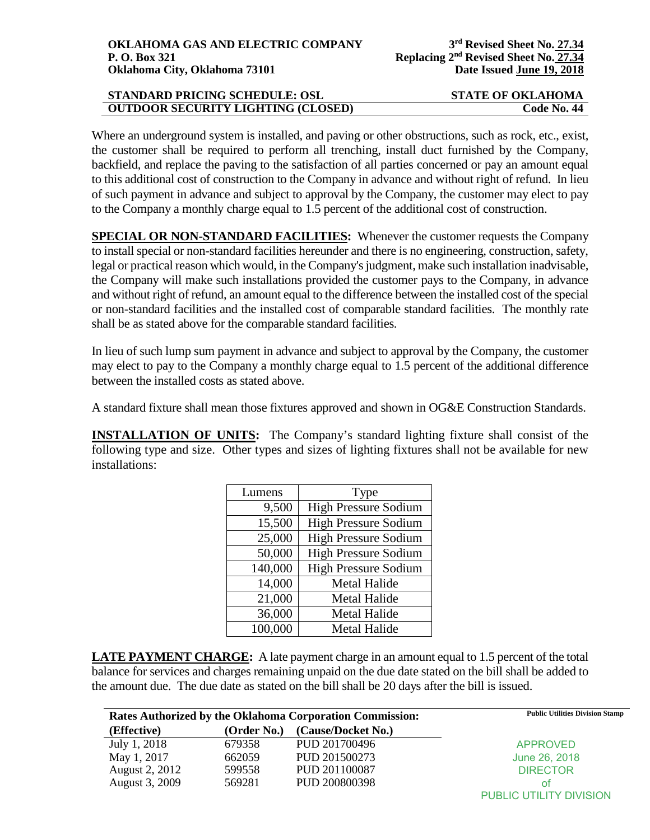# **STANDARD PRICING SCHEDULE: OSL STATE OF OKLAHOMA OUTDOOR SECURITY LIGHTING (CLOSED) Code No. 44**

Where an underground system is installed, and paving or other obstructions, such as rock, etc., exist, the customer shall be required to perform all trenching, install duct furnished by the Company, backfield, and replace the paving to the satisfaction of all parties concerned or pay an amount equal to this additional cost of construction to the Company in advance and without right of refund. In lieu of such payment in advance and subject to approval by the Company, the customer may elect to pay to the Company a monthly charge equal to 1.5 percent of the additional cost of construction.

**SPECIAL OR NON-STANDARD FACILITIES:** Whenever the customer requests the Company to install special or non-standard facilities hereunder and there is no engineering, construction, safety, legal or practical reason which would, in the Company's judgment, make such installation inadvisable, the Company will make such installations provided the customer pays to the Company, in advance and without right of refund, an amount equal to the difference between the installed cost of the special or non-standard facilities and the installed cost of comparable standard facilities. The monthly rate shall be as stated above for the comparable standard facilities.

In lieu of such lump sum payment in advance and subject to approval by the Company, the customer may elect to pay to the Company a monthly charge equal to 1.5 percent of the additional difference between the installed costs as stated above.

A standard fixture shall mean those fixtures approved and shown in OG&E Construction Standards.

**INSTALLATION OF UNITS:** The Company's standard lighting fixture shall consist of the following type and size. Other types and sizes of lighting fixtures shall not be available for new installations:

| Lumens  | Type                        |  |
|---------|-----------------------------|--|
| 9,500   | <b>High Pressure Sodium</b> |  |
| 15,500  | <b>High Pressure Sodium</b> |  |
| 25,000  | <b>High Pressure Sodium</b> |  |
| 50,000  | <b>High Pressure Sodium</b> |  |
| 140,000 | <b>High Pressure Sodium</b> |  |
| 14,000  | <b>Metal Halide</b>         |  |
| 21,000  | <b>Metal Halide</b>         |  |
| 36,000  | <b>Metal Halide</b>         |  |
| 100,000 | <b>Metal Halide</b>         |  |

**LATE PAYMENT CHARGE:** A late payment charge in an amount equal to 1.5 percent of the total balance for services and charges remaining unpaid on the due date stated on the bill shall be added to the amount due. The due date as stated on the bill shall be 20 days after the bill is issued.

| <b>Rates Authorized by the Oklahoma Corporation Commission:</b> |             | <b>Public Utilities Division Stamp</b> |                                |
|-----------------------------------------------------------------|-------------|----------------------------------------|--------------------------------|
| (Effective)                                                     | (Order No.) | (Cause/Docket No.)                     |                                |
| July 1, 2018                                                    | 679358      | PUD 201700496                          | <b>APPROVED</b>                |
| May 1, 2017                                                     | 662059      | PUD 201500273                          | June 26, 2018                  |
| August 2, 2012                                                  | 599558      | PUD 201100087                          | <b>DIRECTOR</b>                |
| August 3, 2009                                                  | 569281      | PUD 200800398                          | Ωt                             |
|                                                                 |             |                                        | <b>PUBLIC UTILITY DIVISION</b> |